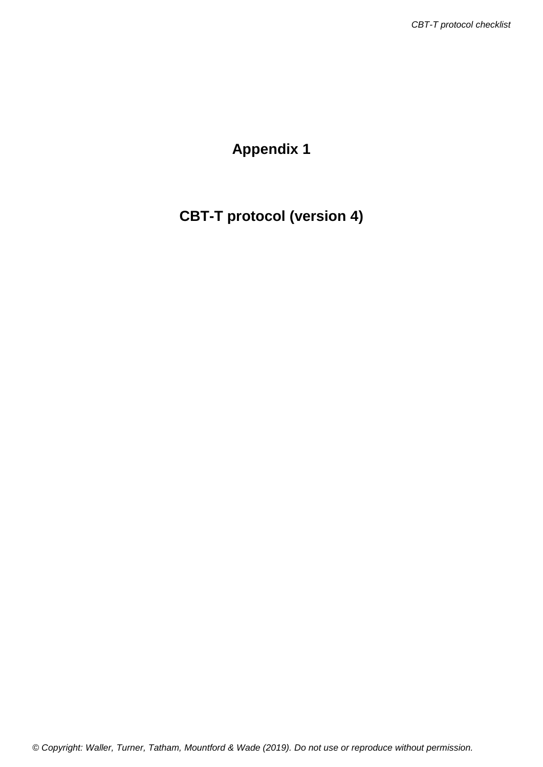# **Appendix 1**

# **CBT-T protocol (version 4)**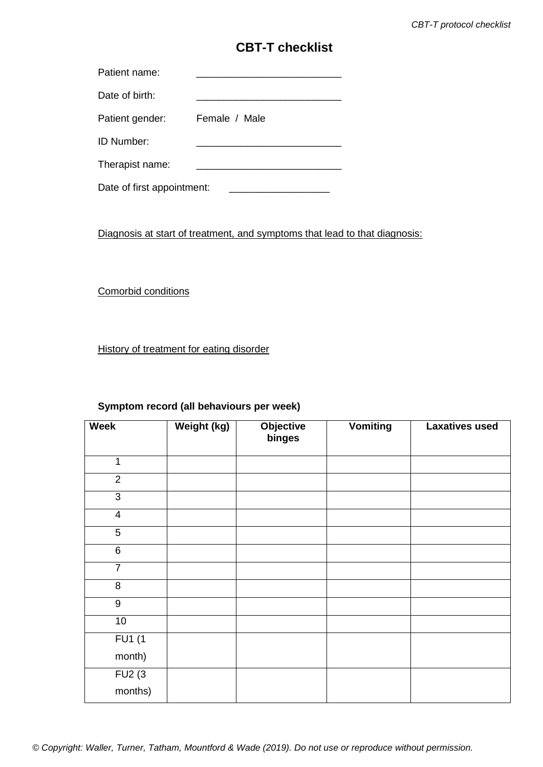## **CBT-T checklist**

| Patient name:   |               |
|-----------------|---------------|
| Date of birth:  |               |
| Patient gender: | Female / Male |
| ID Number:      |               |

Therapist name:

Date of first appointment: \_\_\_\_\_\_\_\_\_\_\_\_\_\_\_\_\_\_

Diagnosis at start of treatment, and symptoms that lead to that diagnosis:

Comorbid conditions

History of treatment for eating disorder

### **Symptom record (all behaviours per week)**

| <b>Week</b>      | Weight (kg) | <b>Objective</b><br>binges | <b>Vomiting</b> | <b>Laxatives used</b> |
|------------------|-------------|----------------------------|-----------------|-----------------------|
| 1                |             |                            |                 |                       |
| $\overline{2}$   |             |                            |                 |                       |
| $\overline{3}$   |             |                            |                 |                       |
| $\overline{4}$   |             |                            |                 |                       |
| $\overline{5}$   |             |                            |                 |                       |
| 6                |             |                            |                 |                       |
| $\overline{7}$   |             |                            |                 |                       |
| $\bf 8$          |             |                            |                 |                       |
| $\boldsymbol{9}$ |             |                            |                 |                       |
| 10               |             |                            |                 |                       |
| FU1(1)           |             |                            |                 |                       |
| month)           |             |                            |                 |                       |
| FU2(3)           |             |                            |                 |                       |
| months)          |             |                            |                 |                       |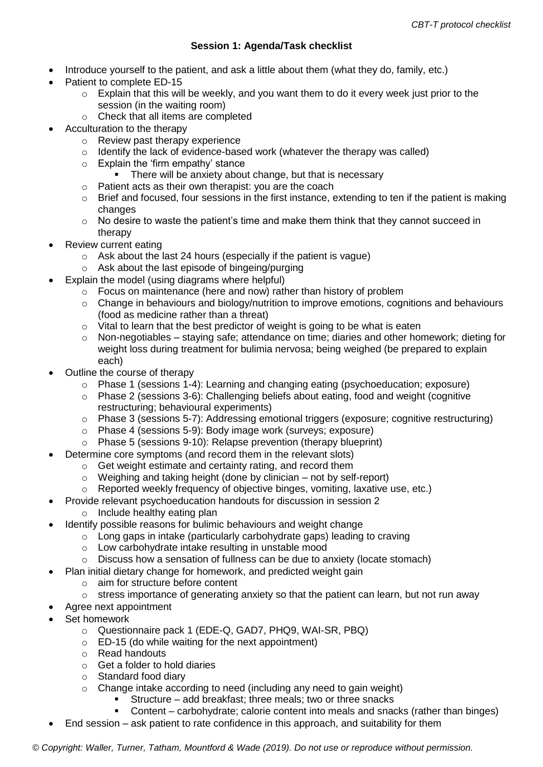### **Session 1: Agenda/Task checklist**

- Introduce yourself to the patient, and ask a little about them (what they do, family, etc.)
- Patient to complete ED-15
	- $\circ$  Explain that this will be weekly, and you want them to do it every week just prior to the session (in the waiting room)
	- o Check that all items are completed
- Acculturation to the therapy
	- o Review past therapy experience
	- o Identify the lack of evidence-based work (whatever the therapy was called)
	- o Explain the 'firm empathy' stance
		- There will be anxiety about change, but that is necessary
	- o Patient acts as their own therapist: you are the coach
	- $\circ$  Brief and focused, four sessions in the first instance, extending to ten if the patient is making changes
	- o No desire to waste the patient's time and make them think that they cannot succeed in therapy
- Review current eating
	- $\circ$  Ask about the last 24 hours (especially if the patient is vague)
	- o Ask about the last episode of bingeing/purging
	- Explain the model (using diagrams where helpful)
		- o Focus on maintenance (here and now) rather than history of problem
		- o Change in behaviours and biology/nutrition to improve emotions, cognitions and behaviours (food as medicine rather than a threat)
		- $\circ$  Vital to learn that the best predictor of weight is going to be what is eaten
		- $\circ$  Non-negotiables staving safe; attendance on time; diaries and other homework; dieting for weight loss during treatment for bulimia nervosa; being weighed (be prepared to explain each)
- Outline the course of therapy
	- $\circ$  Phase 1 (sessions 1-4): Learning and changing eating (psychoeducation; exposure)
	- $\circ$  Phase 2 (sessions 3-6): Challenging beliefs about eating, food and weight (cognitive restructuring; behavioural experiments)
	- o Phase 3 (sessions 5-7): Addressing emotional triggers (exposure; cognitive restructuring)
	- o Phase 4 (sessions 5-9): Body image work (surveys; exposure)
	- o Phase 5 (sessions 9-10): Relapse prevention (therapy blueprint)
- Determine core symptoms (and record them in the relevant slots)
	- o Get weight estimate and certainty rating, and record them
	- $\circ$  Weighing and taking height (done by clinician not by self-report)
	- o Reported weekly frequency of objective binges, vomiting, laxative use, etc.)
	- Provide relevant psychoeducation handouts for discussion in session 2
		- o Include healthy eating plan
- Identify possible reasons for bulimic behaviours and weight change
	- o Long gaps in intake (particularly carbohydrate gaps) leading to craving
	- o Low carbohydrate intake resulting in unstable mood
	- $\circ$  Discuss how a sensation of fullness can be due to anxiety (locate stomach)
- Plan initial dietary change for homework, and predicted weight gain
	- o aim for structure before content
	- o stress importance of generating anxiety so that the patient can learn, but not run away
	- Agree next appointment
- Set homework
	- o Questionnaire pack 1 (EDE-Q, GAD7, PHQ9, WAI-SR, PBQ)
	- o ED-15 (do while waiting for the next appointment)
	- o Read handouts
	- o Get a folder to hold diaries
	- o Standard food diary
	- $\circ$  Change intake according to need (including any need to gain weight)
		- Structure add breakfast; three meals; two or three snacks
			- Content carbohydrate; calorie content into meals and snacks (rather than binges)
	- End session ask patient to rate confidence in this approach, and suitability for them

*© Copyright: Waller, Turner, Tatham, Mountford & Wade (2019). Do not use or reproduce without permission.*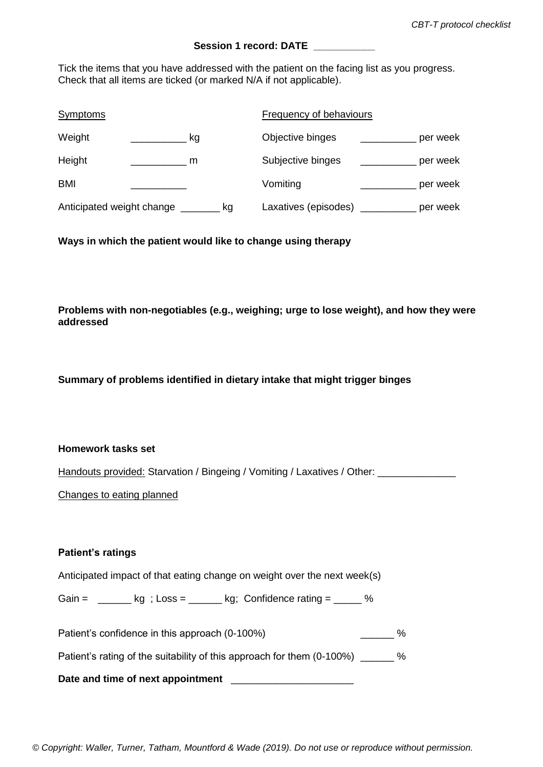### Session 1 record: DATE

Tick the items that you have addressed with the patient on the facing list as you progress. Check that all items are ticked (or marked N/A if not applicable).

| <b>Symptoms</b>           |    | Frequency of behaviours |          |
|---------------------------|----|-------------------------|----------|
| Weight                    | kg | Objective binges        | per week |
| Height                    | m  | Subjective binges       | per week |
| <b>BMI</b>                |    | Vomiting                | per week |
| Anticipated weight change | kg | Laxatives (episodes)    | per week |

**Ways in which the patient would like to change using therapy**

**Problems with non-negotiables (e.g., weighing; urge to lose weight), and how they were addressed**

**Summary of problems identified in dietary intake that might trigger binges**

#### **Homework tasks set**

Handouts provided: Starvation / Bingeing / Vomiting / Laxatives / Other: \_\_\_\_\_\_\_\_

Changes to eating planned

#### **Patient's ratings**

Anticipated impact of that eating change on weight over the next week(s)

Gain =  $\frac{1}{\sqrt{2}}$  kg ; Loss =  $\frac{1}{\sqrt{2}}$  kg; Confidence rating =  $\frac{1}{\sqrt{2}}$  %

Patient's confidence in this approach (0-100%) example the control of the control of the control of the control of the control of the control of the control of the control of the control of the control of the control of th

Patient's rating of the suitability of this approach for them (0-100%) \_\_\_\_\_\_ %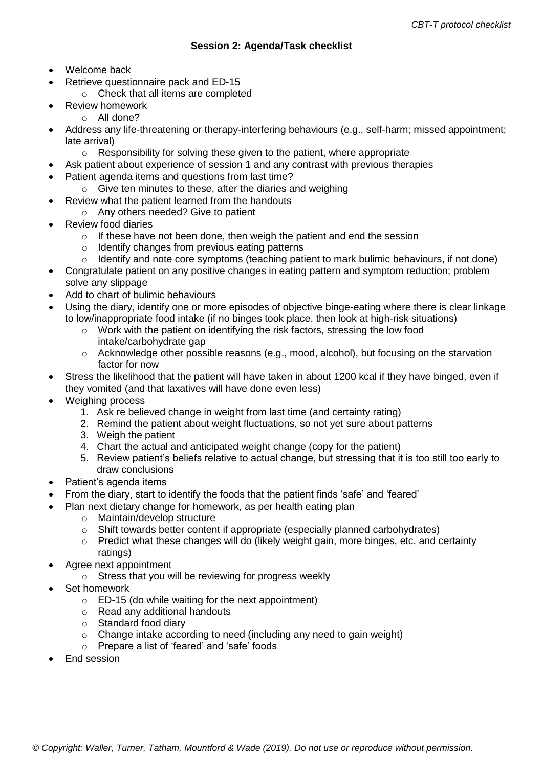- Welcome back
- Retrieve questionnaire pack and ED-15
	- o Check that all items are completed
- Review homework
	- $\circ$  All done?
- Address any life-threatening or therapy-interfering behaviours (e.g., self-harm; missed appointment; late arrival)
	- o Responsibility for solving these given to the patient, where appropriate
- Ask patient about experience of session 1 and any contrast with previous therapies
- Patient agenda items and questions from last time?
	- o Give ten minutes to these, after the diaries and weighing
	- Review what the patient learned from the handouts
		- o Any others needed? Give to patient
- Review food diaries
	- $\circ$  If these have not been done, then weigh the patient and end the session
	- o Identify changes from previous eating patterns
	- o Identify and note core symptoms (teaching patient to mark bulimic behaviours, if not done)
- Congratulate patient on any positive changes in eating pattern and symptom reduction; problem solve any slippage
- Add to chart of bulimic behaviours
- Using the diary, identify one or more episodes of objective binge-eating where there is clear linkage to low/inappropriate food intake (if no binges took place, then look at high-risk situations)
	- $\circ$  Work with the patient on identifying the risk factors, stressing the low food intake/carbohydrate gap
	- o Acknowledge other possible reasons (e.g., mood, alcohol), but focusing on the starvation factor for now
- Stress the likelihood that the patient will have taken in about 1200 kcal if they have binged, even if they vomited (and that laxatives will have done even less)
- Weighing process
	- 1. Ask re believed change in weight from last time (and certainty rating)
	- 2. Remind the patient about weight fluctuations, so not yet sure about patterns
	- 3. Weigh the patient
	- 4. Chart the actual and anticipated weight change (copy for the patient)
	- 5. Review patient's beliefs relative to actual change, but stressing that it is too still too early to draw conclusions
- Patient's agenda items
- From the diary, start to identify the foods that the patient finds 'safe' and 'feared'
- Plan next dietary change for homework, as per health eating plan
	- o Maintain/develop structure
	- $\circ$  Shift towards better content if appropriate (especially planned carbohydrates)
	- o Predict what these changes will do (likely weight gain, more binges, etc. and certainty ratings)
- Agree next appointment
	- o Stress that you will be reviewing for progress weekly
- Set homework
	- $\circ$  ED-15 (do while waiting for the next appointment)
	- o Read any additional handouts
	- o Standard food diary
	- o Change intake according to need (including any need to gain weight)
	- o Prepare a list of 'feared' and 'safe' foods
- End session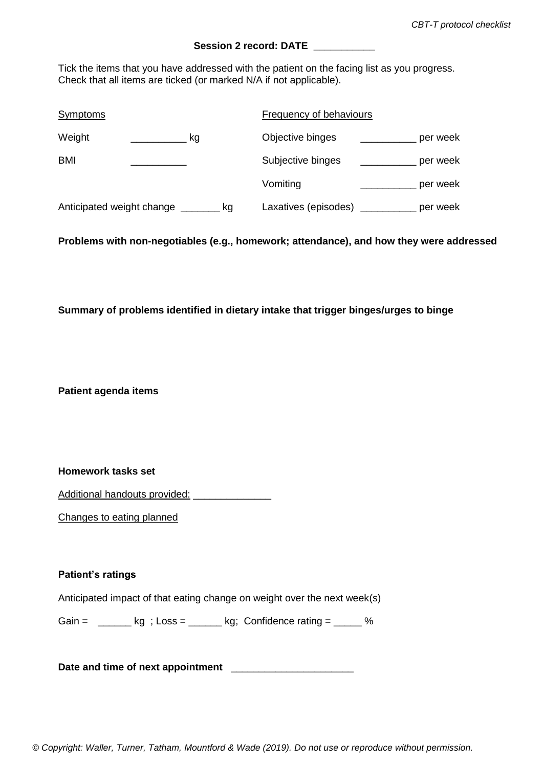### **Session 2 record: DATE \_\_\_\_\_\_\_\_\_\_\_**

Tick the items that you have addressed with the patient on the facing list as you progress. Check that all items are ticked (or marked N/A if not applicable).

| <b>Symptoms</b>                 | <b>Frequency of behaviours</b>   |
|---------------------------------|----------------------------------|
| Weight<br>kg                    | Objective binges<br>per week     |
| <b>BMI</b>                      | Subjective binges<br>per week    |
|                                 | Vomiting<br>per week             |
| Anticipated weight change<br>kg | Laxatives (episodes)<br>per week |

**Problems with non-negotiables (e.g., homework; attendance), and how they were addressed**

### **Summary of problems identified in dietary intake that trigger binges/urges to binge**

**Patient agenda items**

#### **Homework tasks set**

Additional handouts provided: \_\_\_\_\_\_\_\_\_\_\_\_\_\_\_

Changes to eating planned

#### **Patient's ratings**

Anticipated impact of that eating change on weight over the next week(s)

Gain =  $\frac{1}{2}$  kg; Loss =  $\frac{1}{2}$  kg; Confidence rating =  $\frac{1}{2}$  %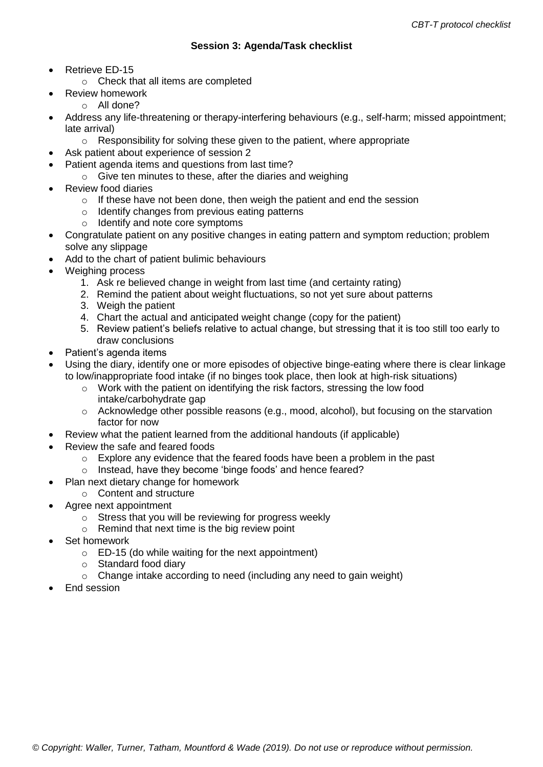- Retrieve ED-15
	- o Check that all items are completed
	- Review homework
	- o All done?
- Address any life-threatening or therapy-interfering behaviours (e.g., self-harm; missed appointment; late arrival)
	- $\circ$  Responsibility for solving these given to the patient, where appropriate
- Ask patient about experience of session 2
- Patient agenda items and questions from last time?
	- o Give ten minutes to these, after the diaries and weighing
- Review food diaries
	- o If these have not been done, then weigh the patient and end the session
	- o Identify changes from previous eating patterns
	- o Identify and note core symptoms
- Congratulate patient on any positive changes in eating pattern and symptom reduction; problem solve any slippage
- Add to the chart of patient bulimic behaviours
- Weighing process
	- 1. Ask re believed change in weight from last time (and certainty rating)
	- 2. Remind the patient about weight fluctuations, so not yet sure about patterns
	- 3. Weigh the patient
	- 4. Chart the actual and anticipated weight change (copy for the patient)
	- 5. Review patient's beliefs relative to actual change, but stressing that it is too still too early to draw conclusions
- Patient's agenda items
- Using the diary, identify one or more episodes of objective binge-eating where there is clear linkage to low/inappropriate food intake (if no binges took place, then look at high-risk situations)
	- o Work with the patient on identifying the risk factors, stressing the low food intake/carbohydrate gap
	- o Acknowledge other possible reasons (e.g., mood, alcohol), but focusing on the starvation factor for now
- Review what the patient learned from the additional handouts (if applicable)
- Review the safe and feared foods
	- $\circ$  Explore any evidence that the feared foods have been a problem in the past
	- o Instead, have they become 'binge foods' and hence feared?
- Plan next dietary change for homework
	- o Content and structure
- Agree next appointment
	- o Stress that you will be reviewing for progress weekly
	- o Remind that next time is the big review point
- Set homework
	- o ED-15 (do while waiting for the next appointment)
	- o Standard food diary
	- o Change intake according to need (including any need to gain weight)
- End session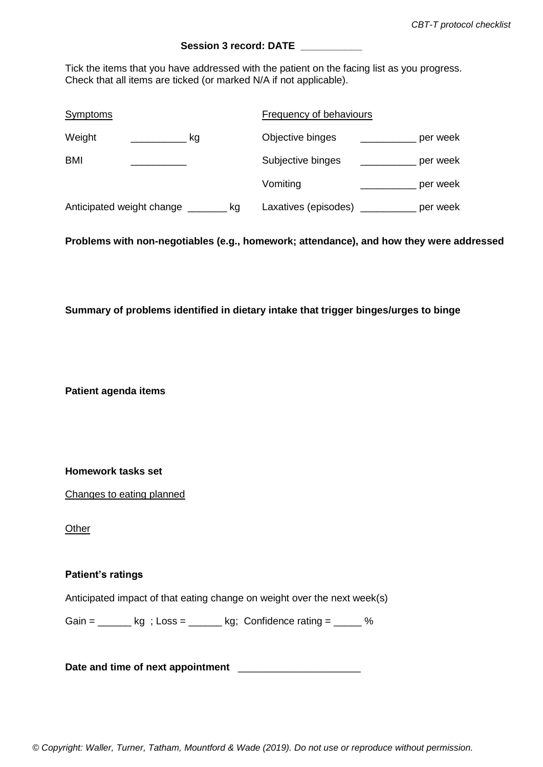### **Session 3 record: DATE \_\_\_\_\_\_\_\_\_\_\_**

Tick the items that you have addressed with the patient on the facing list as you progress. Check that all items are ticked (or marked N/A if not applicable).

| <b>Symptoms</b>                 | <b>Frequency of behaviours</b>   |
|---------------------------------|----------------------------------|
| Weight<br>kg                    | Objective binges<br>per week     |
| BMI                             | Subjective binges<br>per week    |
|                                 | Vomiting<br>per week             |
| Anticipated weight change<br>kg | Laxatives (episodes)<br>per week |

**Problems with non-negotiables (e.g., homework; attendance), and how they were addressed**

#### **Summary of problems identified in dietary intake that trigger binges/urges to binge**

**Patient agenda items**

**Homework tasks set** 

Changes to eating planned

**Other** 

### **Patient's ratings**

Anticipated impact of that eating change on weight over the next week(s)

Gain =  $\frac{1}{2}$  kg; Loss =  $\frac{1}{2}$  kg; Confidence rating =  $\frac{1}{2}$  %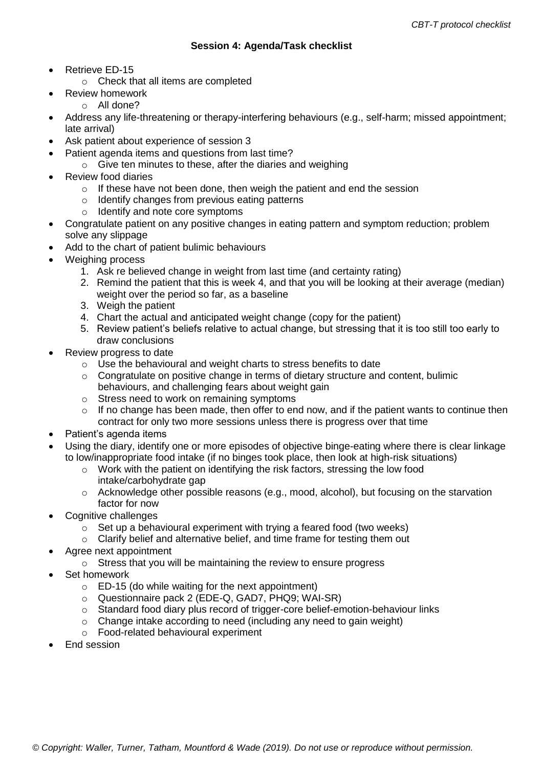- Retrieve ED-15
	- o Check that all items are completed
	- Review homework
	- o All done?
- Address any life-threatening or therapy-interfering behaviours (e.g., self-harm; missed appointment; late arrival)
- Ask patient about experience of session 3
- Patient agenda items and questions from last time?
	- $\circ$  Give ten minutes to these, after the diaries and weighing
- Review food diaries
	- o If these have not been done, then weigh the patient and end the session
	- o Identify changes from previous eating patterns
	- o Identify and note core symptoms
- Congratulate patient on any positive changes in eating pattern and symptom reduction; problem solve any slippage
- Add to the chart of patient bulimic behaviours
- Weighing process
	- 1. Ask re believed change in weight from last time (and certainty rating)
	- 2. Remind the patient that this is week 4, and that you will be looking at their average (median) weight over the period so far, as a baseline
	- 3. Weigh the patient
	- 4. Chart the actual and anticipated weight change (copy for the patient)
	- 5. Review patient's beliefs relative to actual change, but stressing that it is too still too early to draw conclusions
- Review progress to date
	- o Use the behavioural and weight charts to stress benefits to date
	- $\circ$  Congratulate on positive change in terms of dietary structure and content, bulimic behaviours, and challenging fears about weight gain
	- o Stress need to work on remaining symptoms
	- $\circ$  If no change has been made, then offer to end now, and if the patient wants to continue then contract for only two more sessions unless there is progress over that time
- Patient's agenda items
- Using the diary, identify one or more episodes of objective binge-eating where there is clear linkage to low/inappropriate food intake (if no binges took place, then look at high-risk situations)
	- $\circ$  Work with the patient on identifying the risk factors, stressing the low food intake/carbohydrate gap
	- o Acknowledge other possible reasons (e.g., mood, alcohol), but focusing on the starvation factor for now
- Cognitive challenges
	- $\circ$  Set up a behavioural experiment with trying a feared food (two weeks)
	- o Clarify belief and alternative belief, and time frame for testing them out
- Agree next appointment
	- o Stress that you will be maintaining the review to ensure progress
- Set homework
	- $\circ$  ED-15 (do while waiting for the next appointment)
	- o Questionnaire pack 2 (EDE-Q, GAD7, PHQ9; WAI-SR)
	- o Standard food diary plus record of trigger-core belief-emotion-behaviour links
	- $\circ$  Change intake according to need (including any need to gain weight)
	- o Food-related behavioural experiment
- End session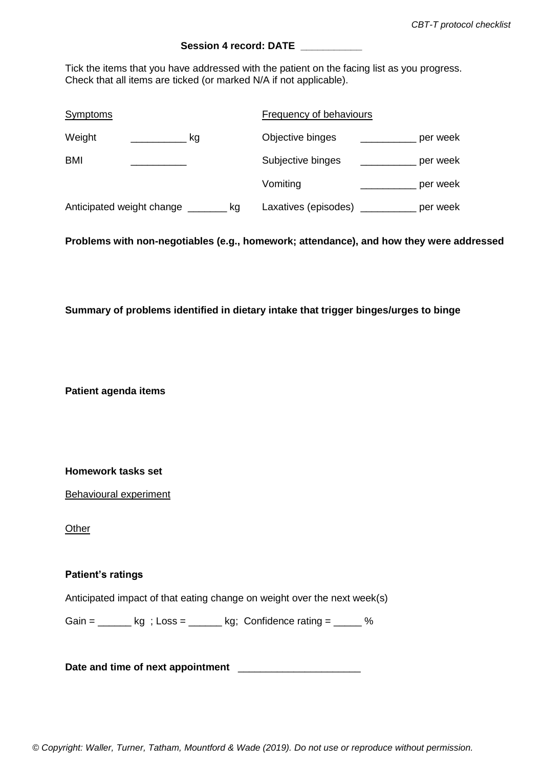### **Session 4 record: DATE**

Tick the items that you have addressed with the patient on the facing list as you progress. Check that all items are ticked (or marked N/A if not applicable).

| <b>Symptoms</b>                 | Frequency of behaviours          |
|---------------------------------|----------------------------------|
| Weight<br>kg                    | Objective binges<br>per week     |
| BMI                             | Subjective binges<br>per week    |
|                                 | Vomiting<br>per week             |
| Anticipated weight change<br>kq | Laxatives (episodes)<br>per week |

**Problems with non-negotiables (e.g., homework; attendance), and how they were addressed**

#### **Summary of problems identified in dietary intake that trigger binges/urges to binge**

**Patient agenda items**

**Homework tasks set** 

Behavioural experiment

**Other** 

### **Patient's ratings**

Anticipated impact of that eating change on weight over the next week(s)

Gain =  $\frac{1}{2}$  kg; Loss =  $\frac{1}{2}$  kg; Confidence rating =  $\frac{1}{2}$  %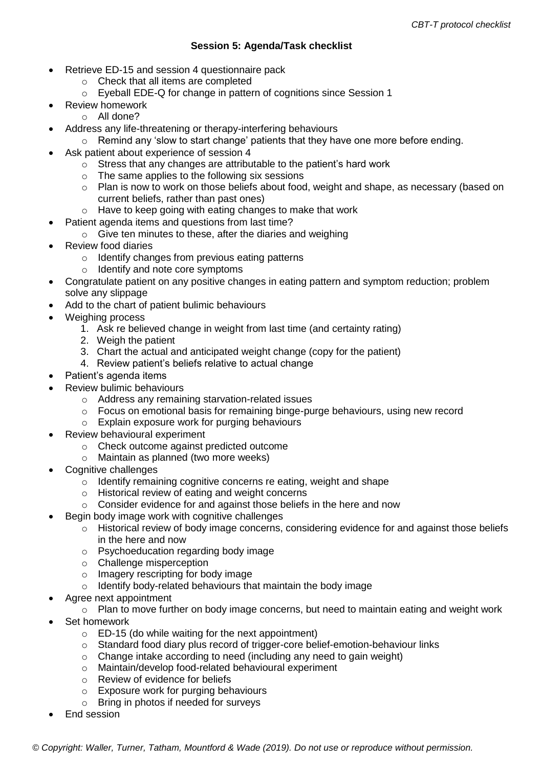### **Session 5: Agenda/Task checklist**

- Retrieve ED-15 and session 4 questionnaire pack
	- o Check that all items are completed
	- o Eyeball EDE-Q for change in pattern of cognitions since Session 1
- Review homework
	- o All done?
- Address any life-threatening or therapy-interfering behaviours
	- $\circ$  Remind any 'slow to start change' patients that they have one more before ending.
	- Ask patient about experience of session 4
		- o Stress that any changes are attributable to the patient's hard work
		- o The same applies to the following six sessions
		- $\circ$  Plan is now to work on those beliefs about food, weight and shape, as necessary (based on current beliefs, rather than past ones)
		- o Have to keep going with eating changes to make that work
- Patient agenda items and questions from last time?
	- o Give ten minutes to these, after the diaries and weighing
- Review food diaries
	- $\circ$  Identify changes from previous eating patterns
	- o Identify and note core symptoms
- Congratulate patient on any positive changes in eating pattern and symptom reduction; problem solve any slippage
- Add to the chart of patient bulimic behaviours
- Weighing process
	- 1. Ask re believed change in weight from last time (and certainty rating)
	- 2. Weigh the patient
	- 3. Chart the actual and anticipated weight change (copy for the patient)
	- 4. Review patient's beliefs relative to actual change
- Patient's agenda items
- Review bulimic behaviours
	- o Address any remaining starvation-related issues
	- $\circ$  Focus on emotional basis for remaining binge-purge behaviours, using new record
	- o Explain exposure work for purging behaviours
- Review behavioural experiment
	- o Check outcome against predicted outcome
	- o Maintain as planned (two more weeks)
- Cognitive challenges
	- o Identify remaining cognitive concerns re eating, weight and shape
	- o Historical review of eating and weight concerns
	- o Consider evidence for and against those beliefs in the here and now
- Begin body image work with cognitive challenges
	- o Historical review of body image concerns, considering evidence for and against those beliefs in the here and now
	- o Psychoeducation regarding body image
	- o Challenge misperception
	- o Imagery rescripting for body image
	- o Identify body-related behaviours that maintain the body image
- Agree next appointment
	- o Plan to move further on body image concerns, but need to maintain eating and weight work
- Set homework
	- $\circ$  ED-15 (do while waiting for the next appointment)
	- o Standard food diary plus record of trigger-core belief-emotion-behaviour links
	- o Change intake according to need (including any need to gain weight)
	- o Maintain/develop food-related behavioural experiment
	- o Review of evidence for beliefs
	- o Exposure work for purging behaviours
	- o Bring in photos if needed for surveys
- End session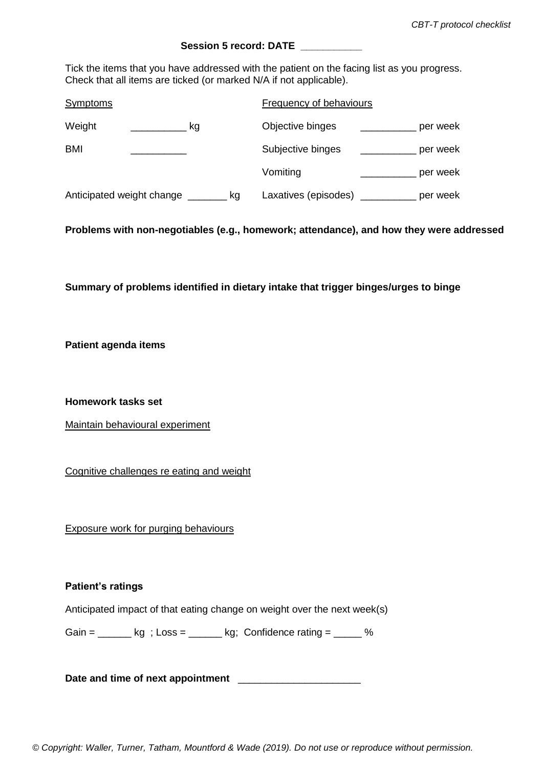### **Session 5 record: DATE \_\_\_\_\_\_\_\_\_\_\_**

Tick the items that you have addressed with the patient on the facing list as you progress. Check that all items are ticked (or marked N/A if not applicable).

| <b>Symptoms</b>                       | <b>Frequency of behaviours</b>           |
|---------------------------------------|------------------------------------------|
| Weight<br>kg                          | Objective binges<br>per week             |
| <b>BMI</b>                            | Subjective binges<br>per week            |
|                                       | Vomiting<br>per week                     |
| Anticipated weight change ________ kg | Laxatives (episodes) _______<br>per week |

**Problems with non-negotiables (e.g., homework; attendance), and how they were addressed**

**Summary of problems identified in dietary intake that trigger binges/urges to binge**

**Patient agenda items**

**Homework tasks set** 

Maintain behavioural experiment

Cognitive challenges re eating and weight

Exposure work for purging behaviours

#### **Patient's ratings**

Anticipated impact of that eating change on weight over the next week(s)

Gain =  $\_\_\_\$  kg ; Loss =  $\_\_\_\$  kg; Confidence rating =  $\_\_\_\$ %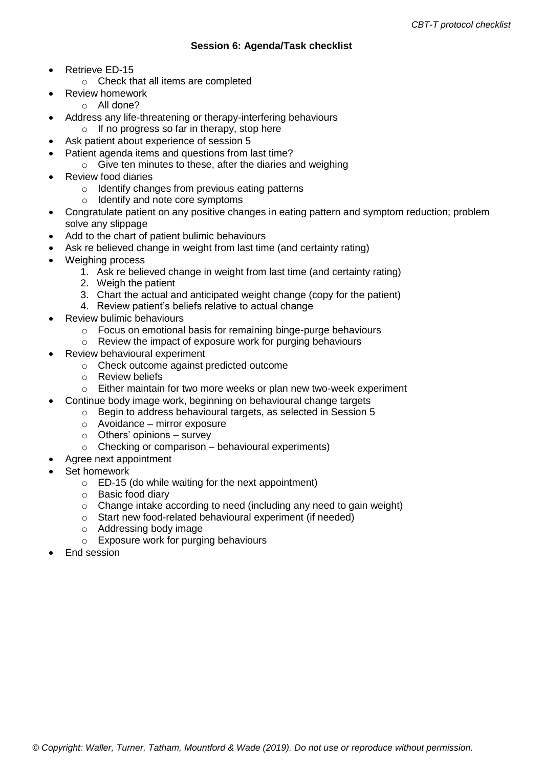- Retrieve ED-15
	- o Check that all items are completed
	- Review homework
- o All done?
- Address any life-threatening or therapy-interfering behaviours
	- o If no progress so far in therapy, stop here
- Ask patient about experience of session 5
- Patient agenda items and questions from last time?
	- $\circ$  Give ten minutes to these, after the diaries and weighing
- Review food diaries
	- o Identify changes from previous eating patterns
	- o Identify and note core symptoms
- Congratulate patient on any positive changes in eating pattern and symptom reduction; problem solve any slippage
- Add to the chart of patient bulimic behaviours
- Ask re believed change in weight from last time (and certainty rating)
- Weighing process
	- 1. Ask re believed change in weight from last time (and certainty rating)
	- 2. Weigh the patient
	- 3. Chart the actual and anticipated weight change (copy for the patient)
	- 4. Review patient's beliefs relative to actual change
- Review bulimic behaviours
	- o Focus on emotional basis for remaining binge-purge behaviours
	- o Review the impact of exposure work for purging behaviours
- Review behavioural experiment
	- o Check outcome against predicted outcome
	- o Review beliefs
	- o Either maintain for two more weeks or plan new two-week experiment
- Continue body image work, beginning on behavioural change targets
	- o Begin to address behavioural targets, as selected in Session 5
		- o Avoidance mirror exposure
		- $\circ$  Others' opinions survey
		- $\circ$  Checking or comparison behavioural experiments)
	- Agree next appointment
- Set homework
	- o ED-15 (do while waiting for the next appointment)
	- o Basic food diary
	- $\circ$  Change intake according to need (including any need to gain weight)
	- o Start new food-related behavioural experiment (if needed)
	- o Addressing body image
	- o Exposure work for purging behaviours
- End session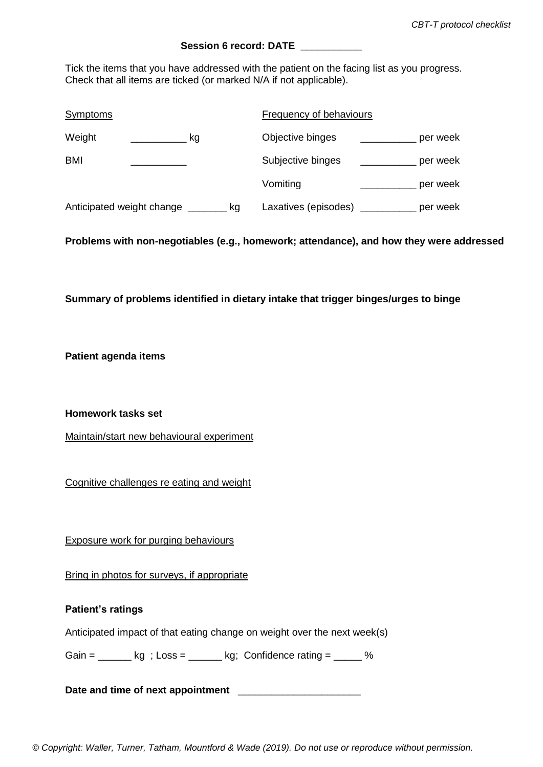### **Session 6 record: DATE**

Tick the items that you have addressed with the patient on the facing list as you progress. Check that all items are ticked (or marked N/A if not applicable).

| <b>Symptoms</b>                 | Frequency of behaviours          |
|---------------------------------|----------------------------------|
| Weight<br>kg                    | Objective binges<br>per week     |
| BMI                             | Subjective binges<br>per week    |
|                                 | Vomiting<br>per week             |
| Anticipated weight change<br>kg | Laxatives (episodes)<br>per week |

**Problems with non-negotiables (e.g., homework; attendance), and how they were addressed**

**Summary of problems identified in dietary intake that trigger binges/urges to binge**

**Patient agenda items**

**Homework tasks set** 

Maintain/start new behavioural experiment

Cognitive challenges re eating and weight

Exposure work for purging behaviours

Bring in photos for surveys, if appropriate

| <b>Patient's ratings</b> |             |                                                                          |   |
|--------------------------|-------------|--------------------------------------------------------------------------|---|
|                          |             | Anticipated impact of that eating change on weight over the next week(s) |   |
| Gain =                   | kg ; Loss = | kg; Confidence rating $=$                                                | % |

Date and time of next appointment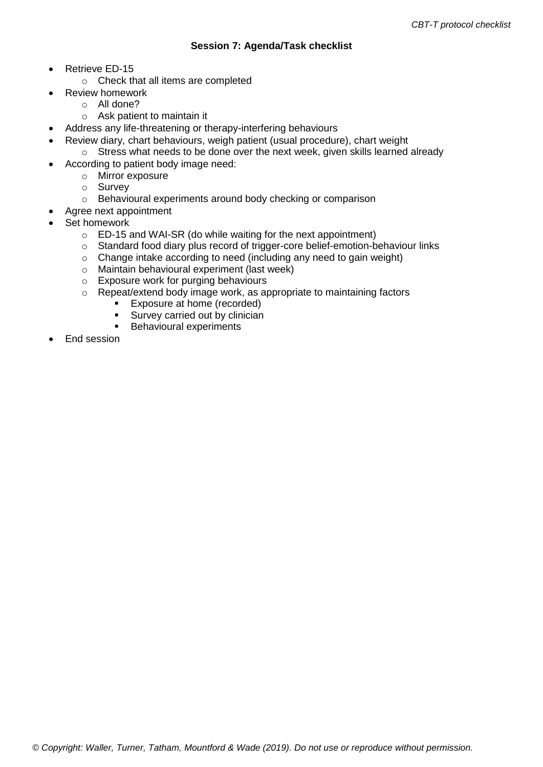- Retrieve ED-15
	- o Check that all items are completed
	- Review homework
		- o All done?
		- o Ask patient to maintain it
- Address any life-threatening or therapy-interfering behaviours
	- Review diary, chart behaviours, weigh patient (usual procedure), chart weight
	- o Stress what needs to be done over the next week, given skills learned already According to patient body image need:
		- o Mirror exposure
			- o Survey
			- o Behavioural experiments around body checking or comparison
	- Agree next appointment
- Set homework
	- o ED-15 and WAI-SR (do while waiting for the next appointment)
	- o Standard food diary plus record of trigger-core belief-emotion-behaviour links
	- $\circ$  Change intake according to need (including any need to gain weight)
	- o Maintain behavioural experiment (last week)
	- o Exposure work for purging behaviours
	- o Repeat/extend body image work, as appropriate to maintaining factors
		- **Exposure at home (recorded)**
		- **Survey carried out by clinician**
		- **Behavioural experiments**
- End session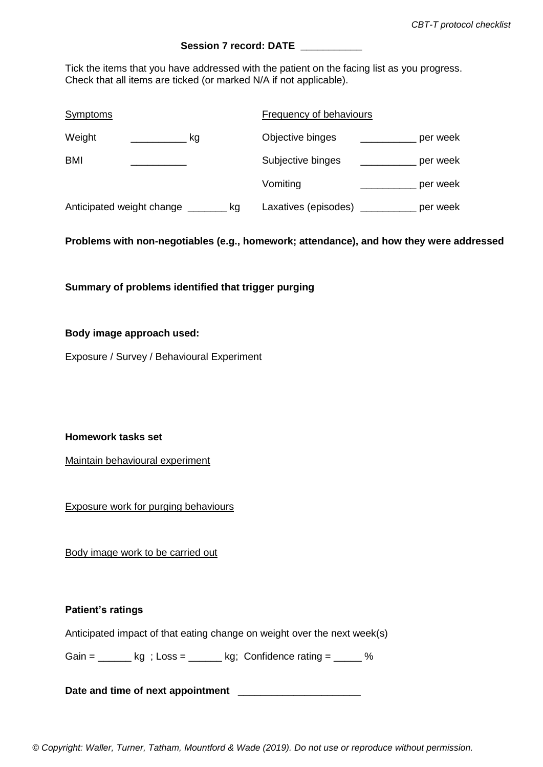### Session 7 **record: DATE**

Tick the items that you have addressed with the patient on the facing list as you progress. Check that all items are ticked (or marked N/A if not applicable).

| <b>Symptoms</b>                 | Frequency of behaviours          |
|---------------------------------|----------------------------------|
| Weight<br>kg                    | Objective binges<br>per week     |
| <b>BMI</b>                      | Subjective binges<br>per week    |
|                                 | Vomiting<br>per week             |
| Anticipated weight change<br>kg | Laxatives (episodes)<br>per week |

**Problems with non-negotiables (e.g., homework; attendance), and how they were addressed**

**Summary of problems identified that trigger purging**

### **Body image approach used:**

Exposure / Survey / Behavioural Experiment

**Homework tasks set** 

Maintain behavioural experiment

Exposure work for purging behaviours

Body image work to be carried out

#### **Patient's ratings**

Anticipated impact of that eating change on weight over the next week(s)

Gain =  $\_\_\_\$  kg ; Loss =  $\_\_\_\$  kg; Confidence rating =  $\_\_\_\$  %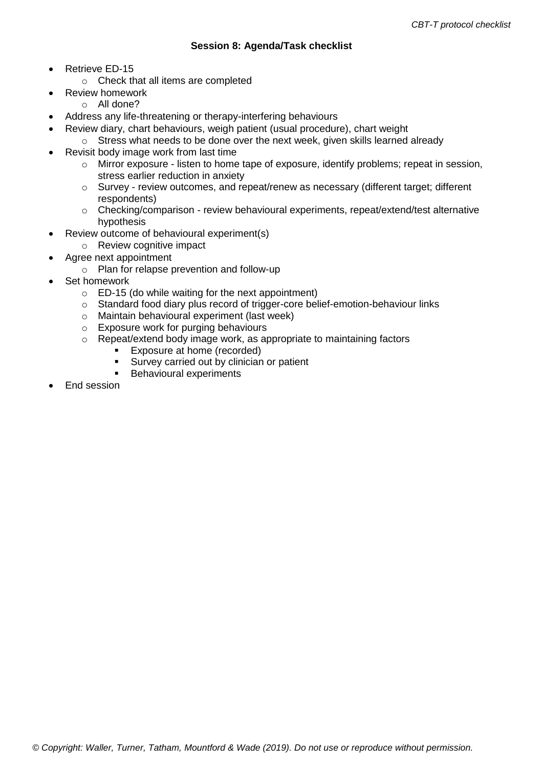- Retrieve ED-15
	- o Check that all items are completed
	- Review homework
	- o All done?
- Address any life-threatening or therapy-interfering behaviours
- Review diary, chart behaviours, weigh patient (usual procedure), chart weight
- $\circ$  Stress what needs to be done over the next week, given skills learned already
- Revisit body image work from last time
	- o Mirror exposure listen to home tape of exposure, identify problems; repeat in session, stress earlier reduction in anxiety
	- $\circ$  Survey review outcomes, and repeat/renew as necessary (different target; different respondents)
	- o Checking/comparison review behavioural experiments, repeat/extend/test alternative hypothesis
- Review outcome of behavioural experiment(s)
	- o Review cognitive impact
- Agree next appointment
- o Plan for relapse prevention and follow-up
- Set homework
	- o ED-15 (do while waiting for the next appointment)
	- o Standard food diary plus record of trigger-core belief-emotion-behaviour links
	- o Maintain behavioural experiment (last week)
	- o Exposure work for purging behaviours
	- o Repeat/extend body image work, as appropriate to maintaining factors
		- **Exposure at home (recorded)**
		- **Survey carried out by clinician or patient**
		- **Behavioural experiments**
- End session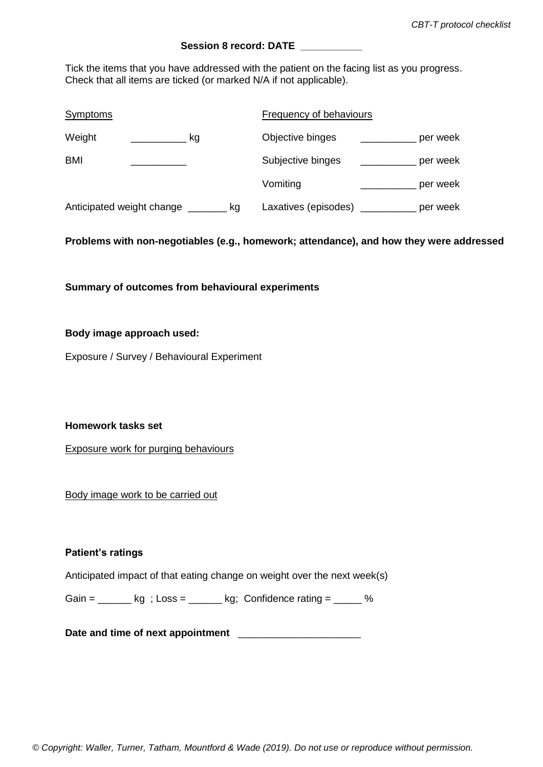### Session 8 **record: DATE**

Tick the items that you have addressed with the patient on the facing list as you progress. Check that all items are ticked (or marked N/A if not applicable).

| Symptoms                        | Frequency of behaviours          |
|---------------------------------|----------------------------------|
| Weight<br>kg                    | Objective binges<br>per week     |
| <b>BMI</b>                      | Subjective binges<br>per week    |
|                                 | Vomiting<br>per week             |
| Anticipated weight change<br>kg | Laxatives (episodes)<br>per week |

**Problems with non-negotiables (e.g., homework; attendance), and how they were addressed**

**Summary of outcomes from behavioural experiments**

#### **Body image approach used:**

Exposure / Survey / Behavioural Experiment

**Homework tasks set** 

Exposure work for purging behaviours

Body image work to be carried out

### **Patient's ratings**

Anticipated impact of that eating change on weight over the next week(s)

Gain =  $\frac{1}{\sqrt{2}}$  kg; Confidence rating =  $\frac{1}{\sqrt{2}}$  %

Date and time of next appointment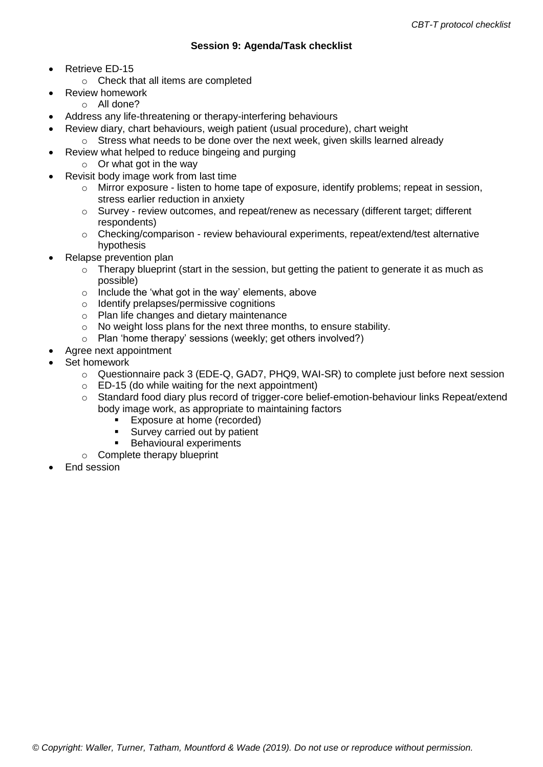- Retrieve ED-15
	- o Check that all items are completed
	- Review homework
	- o All done?
- Address any life-threatening or therapy-interfering behaviours
- Review diary, chart behaviours, weigh patient (usual procedure), chart weight
	- $\circ$  Stress what needs to be done over the next week, given skills learned already
- Review what helped to reduce bingeing and purging
	- $\circ$  Or what got in the way
- Revisit body image work from last time
	- $\circ$  Mirror exposure listen to home tape of exposure, identify problems; repeat in session, stress earlier reduction in anxiety
	- o Survey review outcomes, and repeat/renew as necessary (different target; different respondents)
	- o Checking/comparison review behavioural experiments, repeat/extend/test alternative hypothesis
- Relapse prevention plan
	- $\circ$  Therapy blueprint (start in the session, but getting the patient to generate it as much as possible)
	- o Include the 'what got in the way' elements, above
	- o Identify prelapses/permissive cognitions
	- o Plan life changes and dietary maintenance
	- o No weight loss plans for the next three months, to ensure stability.
	- o Plan 'home therapy' sessions (weekly; get others involved?)
	- Agree next appointment
- Set homework
	- o Questionnaire pack 3 (EDE-Q, GAD7, PHQ9, WAI-SR) to complete just before next session
	- $\circ$  ED-15 (do while waiting for the next appointment)
	- o Standard food diary plus record of trigger-core belief-emotion-behaviour links Repeat/extend body image work, as appropriate to maintaining factors
		- **Exposure at home (recorded)**
		- **Survey carried out by patient**
		- Behavioural experiments
	- o Complete therapy blueprint
- End session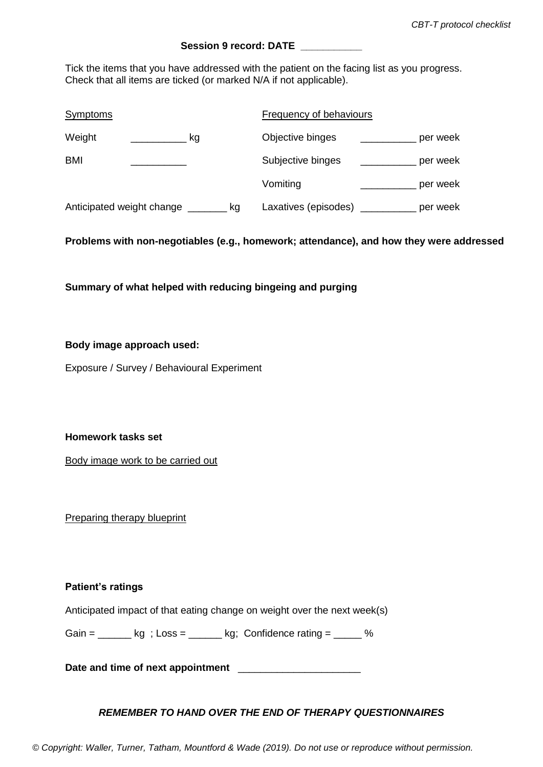### **Session 9 record: DATE \_\_\_\_\_\_\_\_\_\_\_**

Tick the items that you have addressed with the patient on the facing list as you progress. Check that all items are ticked (or marked N/A if not applicable).

| <b>Symptoms</b>                 | Frequency of behaviours          |
|---------------------------------|----------------------------------|
| Weight<br>kg                    | Objective binges<br>per week     |
| BMI                             | Subjective binges<br>per week    |
|                                 | Vomiting<br>per week             |
| Anticipated weight change<br>kg | Laxatives (episodes)<br>per week |

**Problems with non-negotiables (e.g., homework; attendance), and how they were addressed**

**Summary of what helped with reducing bingeing and purging**

#### **Body image approach used:**

Exposure / Survey / Behavioural Experiment

**Homework tasks set** 

Body image work to be carried out

Preparing therapy blueprint

#### **Patient's ratings**

Anticipated impact of that eating change on weight over the next week(s)

Gain =  $\kappa q$  ; Loss =  $\kappa q$ ; Confidence rating =  $\%$ 

Date and time of next appointment **Letter** 2011

### *REMEMBER TO HAND OVER THE END OF THERAPY QUESTIONNAIRES*

*© Copyright: Waller, Turner, Tatham, Mountford & Wade (2019). Do not use or reproduce without permission.*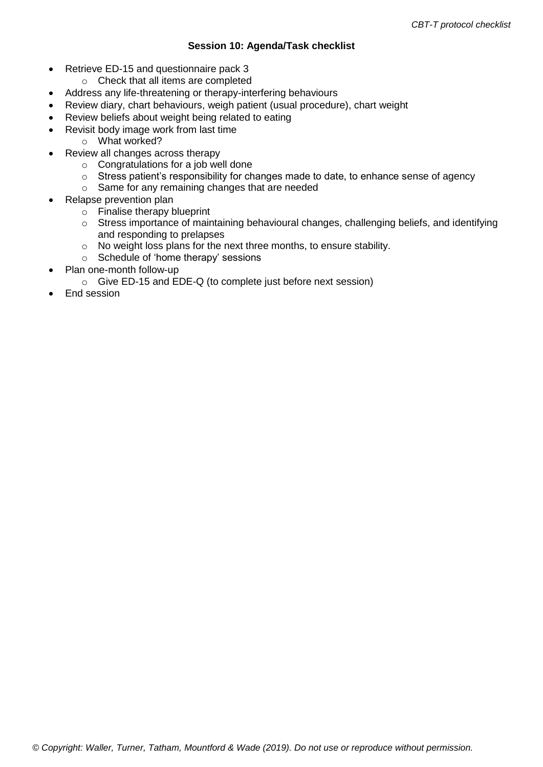### **Session 10: Agenda/Task checklist**

- Retrieve ED-15 and questionnaire pack 3
	- o Check that all items are completed
- Address any life-threatening or therapy-interfering behaviours
- Review diary, chart behaviours, weigh patient (usual procedure), chart weight
- Review beliefs about weight being related to eating
- Revisit body image work from last time
	- o What worked?
	- Review all changes across therapy
		- o Congratulations for a job well done
		- o Stress patient's responsibility for changes made to date, to enhance sense of agency
		- o Same for any remaining changes that are needed
- Relapse prevention plan
	- o Finalise therapy blueprint
	- o Stress importance of maintaining behavioural changes, challenging beliefs, and identifying and responding to prelapses
	- o No weight loss plans for the next three months, to ensure stability.
	- o Schedule of 'home therapy' sessions
- Plan one-month follow-up
	- o Give ED-15 and EDE-Q (to complete just before next session)
- End session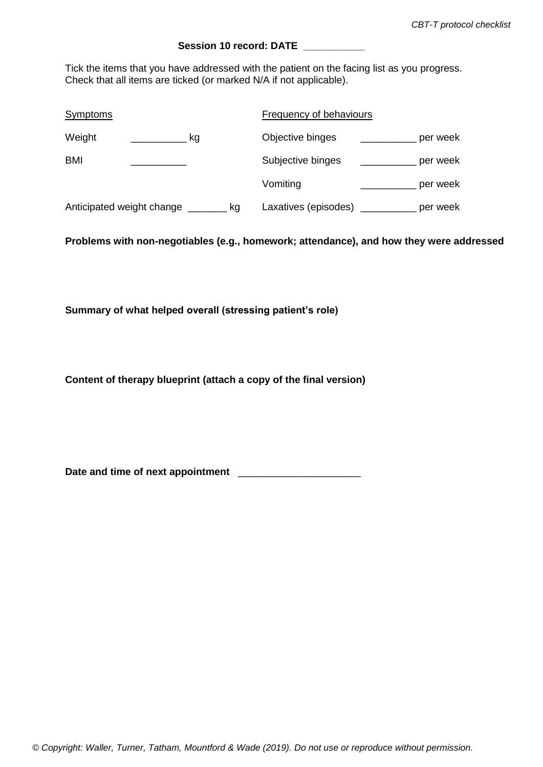### Session 10 record: DATE

Tick the items that you have addressed with the patient on the facing list as you progress. Check that all items are ticked (or marked N/A if not applicable).

| <b>Symptoms</b>                 | Frequency of behaviours          |  |  |
|---------------------------------|----------------------------------|--|--|
| Weight<br>kg                    | Objective binges<br>per week     |  |  |
| <b>BMI</b>                      | Subjective binges<br>per week    |  |  |
|                                 | Vomiting<br>per week             |  |  |
| Anticipated weight change<br>kg | Laxatives (episodes)<br>per week |  |  |

**Problems with non-negotiables (e.g., homework; attendance), and how they were addressed**

**Summary of what helped overall (stressing patient's role)**

**Content of therapy blueprint (attach a copy of the final version)**

Date and time of next appointment **LEAD ASSEM**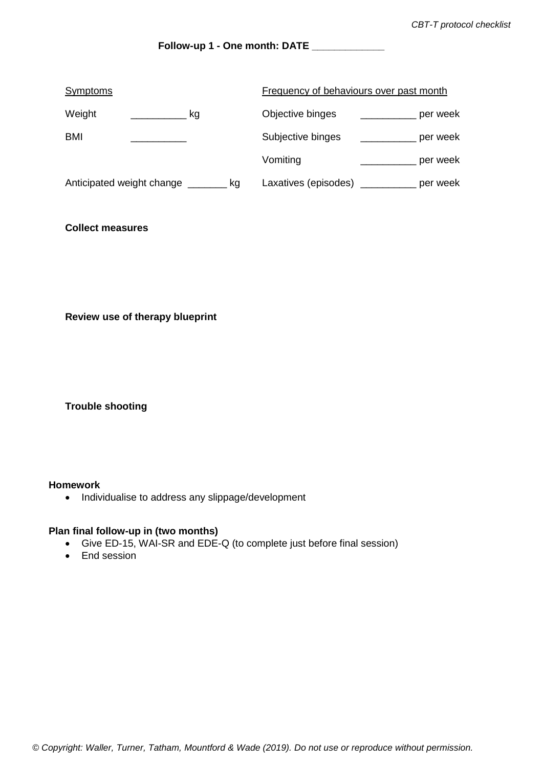### **Follow-up 1 - One month: DATE \_\_\_\_\_\_\_\_\_\_\_\_\_**

| <b>Symptoms</b>           | Frequency of behaviours over past month |                      |  |          |
|---------------------------|-----------------------------------------|----------------------|--|----------|
| Weight<br>kg              |                                         | Objective binges     |  | per week |
| BMI                       |                                         | Subjective binges    |  | per week |
|                           |                                         | Vomiting             |  | per week |
| Anticipated weight change | kg                                      | Laxatives (episodes) |  | per week |

### **Collect measures**

**Review use of therapy blueprint**

**Trouble shooting**

#### **Homework**

• Individualise to address any slippage/development

#### **Plan final follow-up in (two months)**

- Give ED-15, WAI-SR and EDE-Q (to complete just before final session)
- End session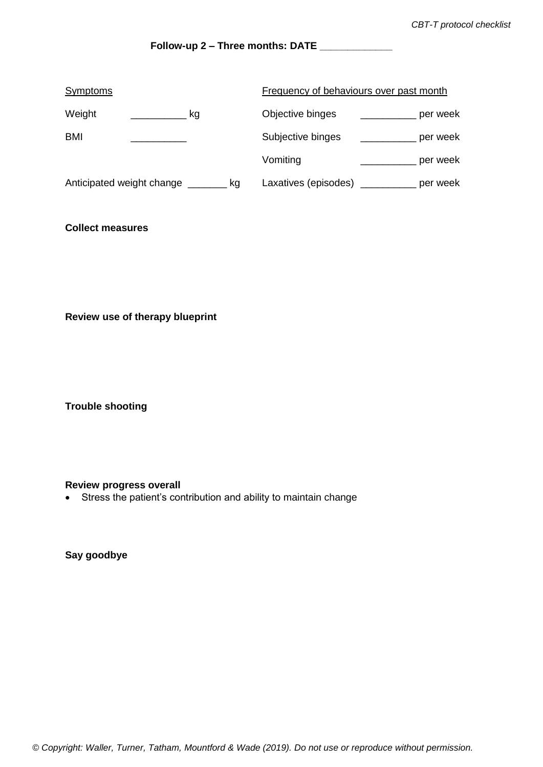## **Follow-up 2 – Three months: DATE \_\_\_\_\_\_\_\_\_\_\_\_\_**

| <b>Symptoms</b>           |  |    | Frequency of behaviours over past month |                      |  |          |
|---------------------------|--|----|-----------------------------------------|----------------------|--|----------|
| Weight                    |  | kg |                                         | Objective binges     |  | per week |
| BMI                       |  |    |                                         | Subjective binges    |  | per week |
|                           |  |    |                                         | Vomiting             |  | per week |
| Anticipated weight change |  | kg |                                         | Laxatives (episodes) |  | per week |

### **Collect measures**

**Review use of therapy blueprint**

**Trouble shooting**

### **Review progress overall**

Stress the patient's contribution and ability to maintain change

**Say goodbye**